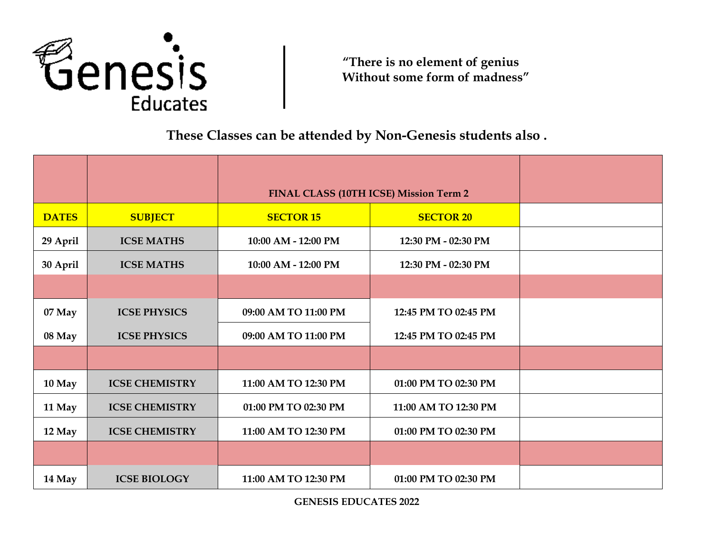

**"There is no element of genius Without some form of madness"**

**These Classes can be attended by Non-Genesis students also .**

|              |                       | <b>FINAL CLASS (10TH ICSE) Mission Term 2</b> |                      |
|--------------|-----------------------|-----------------------------------------------|----------------------|
| <b>DATES</b> | <b>SUBJECT</b>        | <b>SECTOR 15</b>                              | <b>SECTOR 20</b>     |
| 29 April     | <b>ICSE MATHS</b>     | 10:00 AM - 12:00 PM                           | 12:30 PM - 02:30 PM  |
| 30 April     | <b>ICSE MATHS</b>     | 10:00 AM - 12:00 PM                           | 12:30 PM - 02:30 PM  |
|              |                       |                                               |                      |
| 07 May       | <b>ICSE PHYSICS</b>   | 09:00 AM TO 11:00 PM                          | 12:45 PM TO 02:45 PM |
| 08 May       | <b>ICSE PHYSICS</b>   | 09:00 AM TO 11:00 PM                          | 12:45 PM TO 02:45 PM |
|              |                       |                                               |                      |
| 10 May       | <b>ICSE CHEMISTRY</b> | 11:00 AM TO 12:30 PM                          | 01:00 PM TO 02:30 PM |
| 11 May       | <b>ICSE CHEMISTRY</b> | 01:00 PM TO 02:30 PM                          | 11:00 AM TO 12:30 PM |
| 12 May       | <b>ICSE CHEMISTRY</b> | 11:00 AM TO 12:30 PM                          | 01:00 PM TO 02:30 PM |
|              |                       |                                               |                      |
| 14 May       | <b>ICSE BIOLOGY</b>   | 11:00 AM TO 12:30 PM                          | 01:00 PM TO 02:30 PM |

**GENESIS EDUCATES 2022**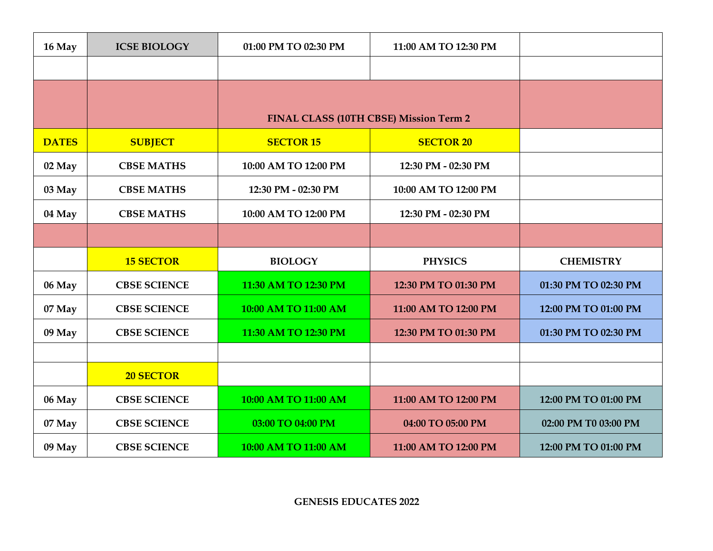| 16 May       | <b>ICSE BIOLOGY</b> | 01:00 PM TO 02:30 PM                   | 11:00 AM TO 12:30 PM |                      |
|--------------|---------------------|----------------------------------------|----------------------|----------------------|
|              |                     |                                        |                      |                      |
|              |                     |                                        |                      |                      |
|              |                     | FINAL CLASS (10TH CBSE) Mission Term 2 |                      |                      |
| <b>DATES</b> | <b>SUBJECT</b>      | <b>SECTOR 15</b>                       | <b>SECTOR 20</b>     |                      |
| 02 May       | <b>CBSE MATHS</b>   | 10:00 AM TO 12:00 PM                   | 12:30 PM - 02:30 PM  |                      |
| 03 May       | <b>CBSE MATHS</b>   | 12:30 PM - 02:30 PM                    | 10:00 AM TO 12:00 PM |                      |
| 04 May       | <b>CBSE MATHS</b>   | 10:00 AM TO 12:00 PM                   | 12:30 PM - 02:30 PM  |                      |
|              |                     |                                        |                      |                      |
|              | <b>15 SECTOR</b>    | <b>BIOLOGY</b>                         | <b>PHYSICS</b>       | <b>CHEMISTRY</b>     |
| 06 May       | <b>CBSE SCIENCE</b> | 11:30 AM TO 12:30 PM                   | 12:30 PM TO 01:30 PM | 01:30 PM TO 02:30 PM |
| 07 May       | <b>CBSE SCIENCE</b> | 10:00 AM TO 11:00 AM                   | 11:00 AM TO 12:00 PM | 12:00 PM TO 01:00 PM |
| 09 May       | <b>CBSE SCIENCE</b> | 11:30 AM TO 12:30 PM                   | 12:30 PM TO 01:30 PM | 01:30 PM TO 02:30 PM |
|              |                     |                                        |                      |                      |
|              | <b>20 SECTOR</b>    |                                        |                      |                      |
| 06 May       | <b>CBSE SCIENCE</b> | 10:00 AM TO 11:00 AM                   | 11:00 AM TO 12:00 PM | 12:00 PM TO 01:00 PM |
| 07 May       | <b>CBSE SCIENCE</b> | 03:00 TO 04:00 PM                      | 04:00 TO 05:00 PM    | 02:00 PM T0 03:00 PM |
| 09 May       | <b>CBSE SCIENCE</b> | 10:00 AM TO 11:00 AM                   | 11:00 AM TO 12:00 PM | 12:00 PM TO 01:00 PM |